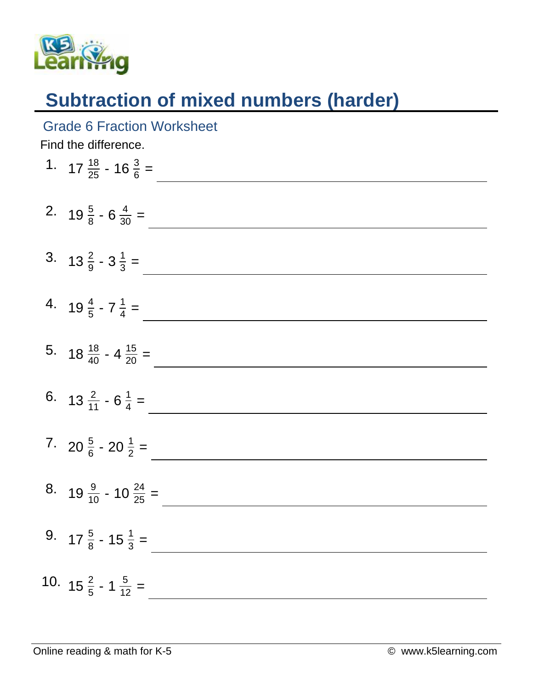

## **Subtraction of mixed numbers (harder)**

## Grade 6 Fraction Worksheet

Find the difference.

| 1. $17\frac{18}{25} - 16\frac{3}{6} =$   |
|------------------------------------------|
| 2. $19\frac{5}{8} - 6\frac{4}{30} =$     |
| 3. $13\frac{2}{9} - 3\frac{1}{3} =$      |
| 4. $19\frac{4}{5}$ - $7\frac{1}{4}$ =    |
| 5. $18\frac{18}{40} - 4\frac{15}{20} =$  |
| 6. $13\frac{2}{11} - 6\frac{1}{4} =$     |
| 7. $20\frac{5}{6} - 20\frac{1}{2} =$     |
| 8. $19\frac{9}{10} - 10\frac{24}{25} =$  |
| 9. $17\frac{5}{8}$ - $15\frac{1}{3}$ =   |
| 10. $15\frac{2}{5}$ - 1 $\frac{5}{12}$ = |